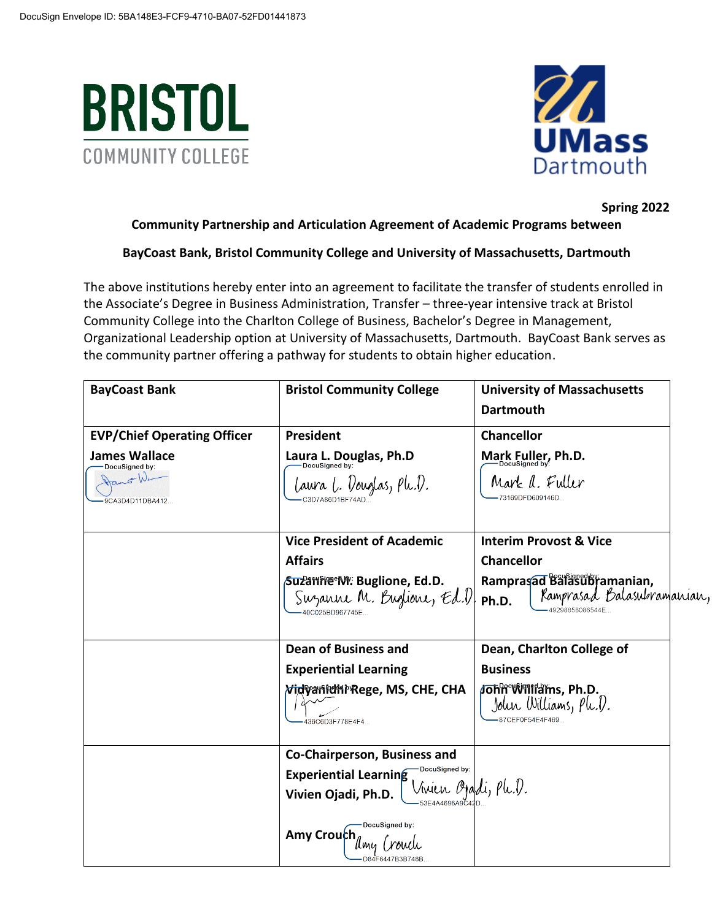



# **Spring 2022**

# **Community Partnership and Articulation Agreement of Academic Programs between**

# **BayCoast Bank, Bristol Community College and University of Massachusetts, Dartmouth**

The above institutions hereby enter into an agreement to facilitate the transfer of students enrolled in the Associate's Degree in Business Administration, Transfer – three-year intensive track at Bristol Community College into the Charlton College of Business, Bachelor's Degree in Management, Organizational Leadership option at University of Massachusetts, Dartmouth. BayCoast Bank serves as the community partner offering a pathway for students to obtain higher education.

| <b>BayCoast Bank</b>                                                                            | <b>Bristol Community College</b>                                                                                                                                                  | <b>University of Massachusetts</b><br><b>Dartmouth</b>                                                                                         |
|-------------------------------------------------------------------------------------------------|-----------------------------------------------------------------------------------------------------------------------------------------------------------------------------------|------------------------------------------------------------------------------------------------------------------------------------------------|
| <b>EVP/Chief Operating Officer</b><br><b>James Wallace</b><br>DocuSigned by:<br>9CA3D4D11DBA412 | President<br>Laura L. Douglas, Ph.D<br>laura l. Vouglas, Ph.V.                                                                                                                    | <b>Chancellor</b><br>Mark Fuller, Ph.D.<br>Mark a. Fuller<br>-73169DFD609146D                                                                  |
|                                                                                                 | <b>Vice President of Academic</b><br><b>Affairs</b><br>Suza mie M. Buglione, Ed.D.<br>Suzanne M. Buglione, Ed.V<br>40C025BD967745E.                                               | <b>Interim Provost &amp; Vice</b><br><b>Chancellor</b><br>Ramprasad Balasubramanian,<br>Ramprasad Balasubramanian,<br>Ph.D.<br>49298858086544E |
|                                                                                                 | <b>Dean of Business and</b><br><b>Experiential Learning</b><br><i><b>Nidvanidhi</b>'Rege</i> , MS, CHE, CHA<br>436C6D3F778E4F4                                                    | Dean, Charlton College of<br><b>Business</b><br>John Williams, Ph.D.<br>John Williams, Ph.V.<br>87CEF0F54E4F469                                |
|                                                                                                 | Co-Chairperson, Business and<br>DocuSigned by:<br><b>Experiential Learning</b><br>Vinien Ojaldi, Plc.V.<br>Vivien Ojadi, Ph.D.<br>DocuSigned by:<br>Amy Crouch<br>D84F6447B3B748B |                                                                                                                                                |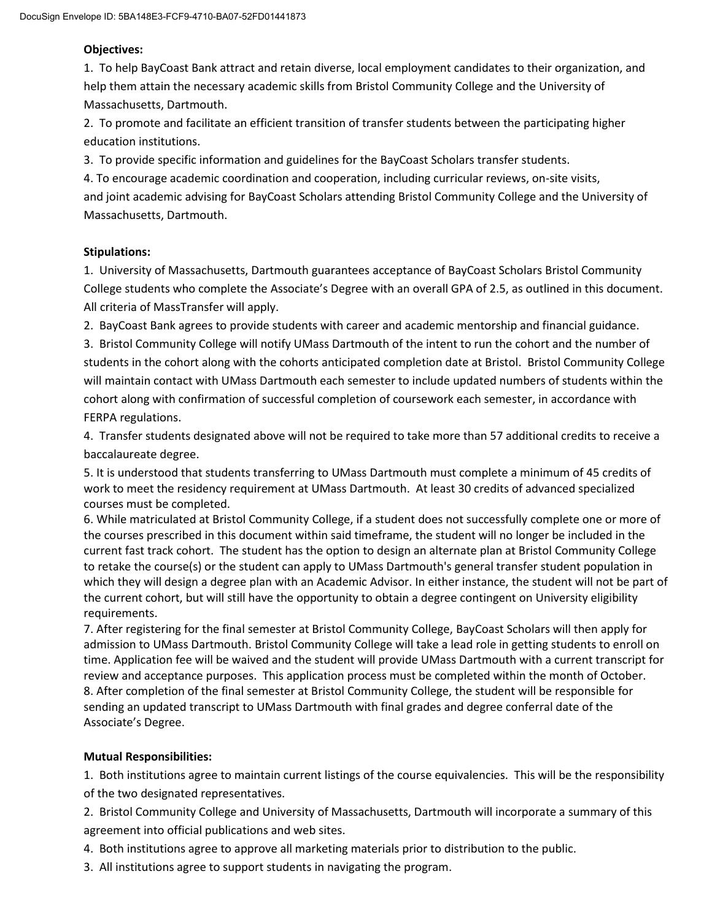### **Objectives:**

1. To help BayCoast Bank attract and retain diverse, local employment candidates to their organization, and help them attain the necessary academic skills from Bristol Community College and the University of Massachusetts, Dartmouth.

2. To promote and facilitate an efficient transition of transfer students between the participating higher education institutions.

3. To provide specific information and guidelines for the BayCoast Scholars transfer students.

4. To encourage academic coordination and cooperation, including curricular reviews, on-site visits, and joint academic advising for BayCoast Scholars attending Bristol Community College and the University of Massachusetts, Dartmouth.

#### **Stipulations:**

1. University of Massachusetts, Dartmouth guarantees acceptance of BayCoast Scholars Bristol Community College students who complete the Associate's Degree with an overall GPA of 2.5, as outlined in this document. All criteria of MassTransfer will apply.

2. BayCoast Bank agrees to provide students with career and academic mentorship and financial guidance.

3. Bristol Community College will notify UMass Dartmouth of the intent to run the cohort and the number of students in the cohort along with the cohorts anticipated completion date at Bristol. Bristol Community College will maintain contact with UMass Dartmouth each semester to include updated numbers of students within the cohort along with confirmation of successful completion of coursework each semester, in accordance with FERPA regulations.

4. Transfer students designated above will not be required to take more than 57 additional credits to receive a baccalaureate degree.

5. It is understood that students transferring to UMass Dartmouth must complete a minimum of 45 credits of work to meet the residency requirement at UMass Dartmouth. At least 30 credits of advanced specialized courses must be completed.

6. While matriculated at Bristol Community College, if a student does not successfully complete one or more of the courses prescribed in this document within said timeframe, the student will no longer be included in the current fast track cohort. The student has the option to design an alternate plan at Bristol Community College to retake the course(s) or the student can apply to UMass Dartmouth's general transfer student population in which they will design a degree plan with an Academic Advisor. In either instance, the student will not be part of the current cohort, but will still have the opportunity to obtain a degree contingent on University eligibility requirements.

7. After registering for the final semester at Bristol Community College, BayCoast Scholars will then apply for admission to UMass Dartmouth. Bristol Community College will take a lead role in getting students to enroll on time. Application fee will be waived and the student will provide UMass Dartmouth with a current transcript for review and acceptance purposes. This application process must be completed within the month of October. 8. After completion of the final semester at Bristol Community College, the student will be responsible for sending an updated transcript to UMass Dartmouth with final grades and degree conferral date of the Associate's Degree.

### **Mutual Responsibilities:**

1. Both institutions agree to maintain current listings of the course equivalencies. This will be the responsibility of the two designated representatives.

2. Bristol Community College and University of Massachusetts, Dartmouth will incorporate a summary of this agreement into official publications and web sites.

- 4. Both institutions agree to approve all marketing materials prior to distribution to the public.
- 3. All institutions agree to support students in navigating the program.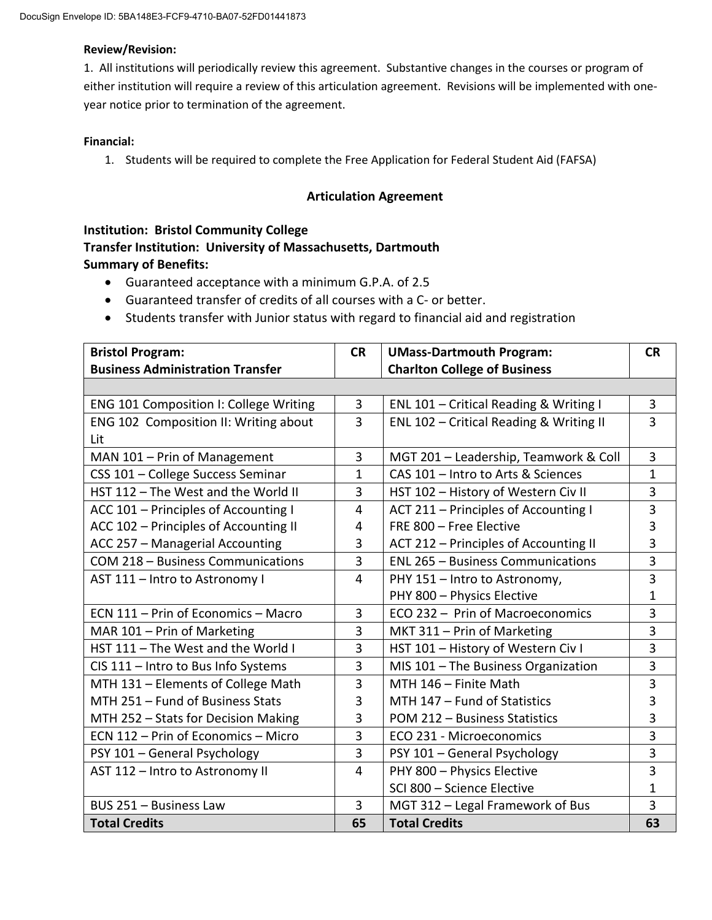#### **Review/Revision:**

1. All institutions will periodically review this agreement. Substantive changes in the courses or program of either institution will require a review of this articulation agreement. Revisions will be implemented with oneyear notice prior to termination of the agreement.

#### **Financial:**

1. Students will be required to complete the Free Application for Federal Student Aid (FAFSA)

### **Articulation Agreement**

# **Institution: Bristol Community College Transfer Institution: University of Massachusetts, Dartmouth Summary of Benefits:**

- Guaranteed acceptance with a minimum G.P.A. of 2.5
- Guaranteed transfer of credits of all courses with a C- or better.
- Students transfer with Junior status with regard to financial aid and registration

| <b>Bristol Program:</b>                 | <b>CR</b>      | <b>UMass-Dartmouth Program:</b>          | <b>CR</b>      |
|-----------------------------------------|----------------|------------------------------------------|----------------|
| <b>Business Administration Transfer</b> |                | <b>Charlton College of Business</b>      |                |
|                                         |                |                                          |                |
| ENG 101 Composition I: College Writing  | 3              | ENL 101 - Critical Reading & Writing I   | 3              |
| ENG 102 Composition II: Writing about   | 3              | ENL 102 - Critical Reading & Writing II  | $\overline{3}$ |
| Lit                                     |                |                                          |                |
| MAN 101 - Prin of Management            | 3              | MGT 201 - Leadership, Teamwork & Coll    | 3              |
| CSS 101 - College Success Seminar       | 1              | CAS 101 - Intro to Arts & Sciences       | $\mathbf{1}$   |
| HST 112 - The West and the World II     | 3              | HST 102 - History of Western Civ II      | 3              |
| ACC 101 - Principles of Accounting I    | $\overline{4}$ | ACT 211 - Principles of Accounting I     | 3              |
| ACC 102 - Principles of Accounting II   | 4              | FRE 800 - Free Elective                  | 3              |
| ACC 257 - Managerial Accounting         | 3              | ACT 212 - Principles of Accounting II    | 3              |
| COM 218 - Business Communications       | 3              | <b>ENL 265 - Business Communications</b> | $\overline{3}$ |
| AST 111 - Intro to Astronomy I          | 4              | PHY 151 - Intro to Astronomy,            | 3              |
|                                         |                | PHY 800 - Physics Elective               | 1              |
| ECN 111 - Prin of Economics - Macro     | 3              | ECO 232 - Prin of Macroeconomics         | $\overline{3}$ |
| MAR 101 - Prin of Marketing             | 3              | MKT 311 - Prin of Marketing              | 3              |
| HST 111 - The West and the World I      | 3              | HST 101 - History of Western Civ I       | 3              |
| CIS 111 - Intro to Bus Info Systems     | 3              | MIS 101 - The Business Organization      | 3              |
| MTH 131 - Elements of College Math      | 3              | MTH 146 - Finite Math                    | 3              |
| MTH 251 - Fund of Business Stats        | 3              | MTH 147 - Fund of Statistics             | 3              |
| MTH 252 - Stats for Decision Making     | 3              | POM 212 - Business Statistics            | 3              |
| ECN 112 - Prin of Economics - Micro     | 3              | ECO 231 - Microeconomics                 | $\overline{3}$ |
| PSY 101 - General Psychology            | 3              | PSY 101 - General Psychology             | 3              |
| AST 112 - Intro to Astronomy II         | $\overline{4}$ | PHY 800 - Physics Elective               | 3              |
|                                         |                | SCI 800 - Science Elective               | 1              |
| BUS 251 - Business Law                  | 3              | MGT 312 - Legal Framework of Bus         | 3              |
| <b>Total Credits</b>                    | 65             | <b>Total Credits</b>                     | 63             |